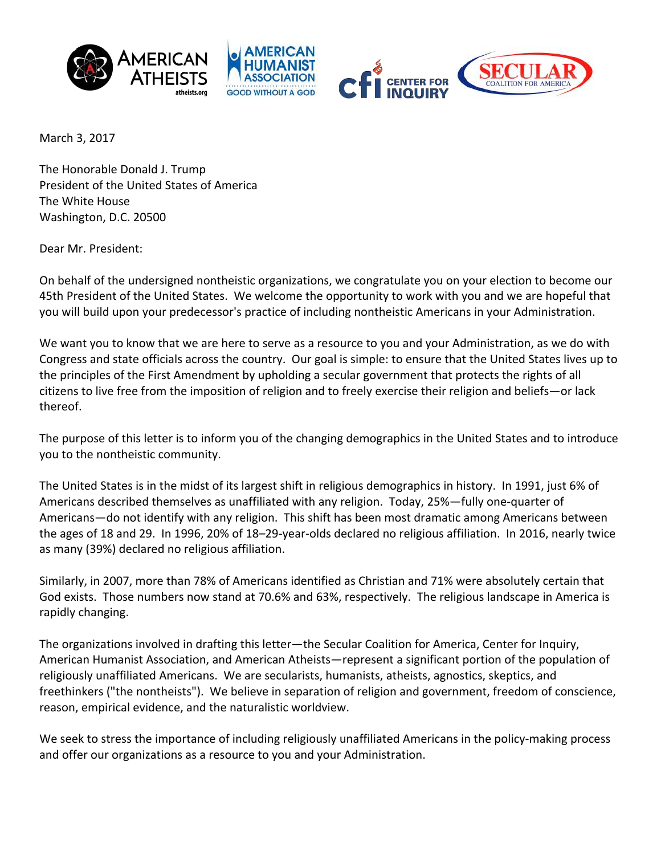





March 3, 2017

The Honorable Donald J. Trump President of the United States of America The White House Washington, D.C. 20500

Dear Mr. President:

On behalf of the undersigned nontheistic organizations, we congratulate you on your election to become our 45th President of the United States. We welcome the opportunity to work with you and we are hopeful that you will build upon your predecessor's practice of including nontheistic Americans in your Administration.

We want you to know that we are here to serve as a resource to you and your Administration, as we do with Congress and state officials across the country. Our goal is simple: to ensure that the United States lives up to the principles of the First Amendment by upholding a secular government that protects the rights of all citizens to live free from the imposition of religion and to freely exercise their religion and beliefs—or lack thereof. 

The purpose of this letter is to inform you of the changing demographics in the United States and to introduce you to the nontheistic community.

The United States is in the midst of its largest shift in religious demographics in history. In 1991, just 6% of Americans described themselves as unaffiliated with any religion. Today, 25%—fully one-quarter of Americans—do not identify with any religion. This shift has been most dramatic among Americans between the ages of 18 and 29. In 1996, 20% of 18-29-year-olds declared no religious affiliation. In 2016, nearly twice as many (39%) declared no religious affiliation.

Similarly, in 2007, more than 78% of Americans identified as Christian and 71% were absolutely certain that God exists. Those numbers now stand at 70.6% and 63%, respectively. The religious landscape in America is rapidly changing.

The organizations involved in drafting this letter—the Secular Coalition for America, Center for Inquiry, American Humanist Association, and American Atheists—represent a significant portion of the population of religiously unaffiliated Americans. We are secularists, humanists, atheists, agnostics, skeptics, and freethinkers ("the nontheists"). We believe in separation of religion and government, freedom of conscience, reason, empirical evidence, and the naturalistic worldview.

We seek to stress the importance of including religiously unaffiliated Americans in the policy-making process and offer our organizations as a resource to you and your Administration.